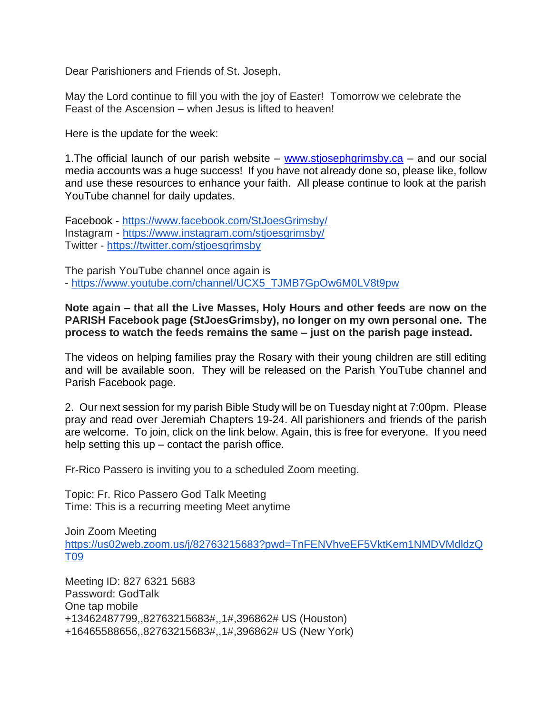Dear Parishioners and Friends of St. Joseph,

May the Lord continue to fill you with the joy of Easter! Tomorrow we celebrate the Feast of the Ascension – when Jesus is lifted to heaven!

Here is the update for the week:

1. The official launch of our parish website – [www.stjosephgrimsby.ca](http://www.stjosephgrimsby.ca/) – and our social media accounts was a huge success! If you have not already done so, please like, follow and use these resources to enhance your faith. All please continue to look at the parish YouTube channel for daily updates.

Facebook - <https://www.facebook.com/StJoesGrimsby/> Instagram - <https://www.instagram.com/stjoesgrimsby/> Twitter - <https://twitter.com/stjoesgrimsby>

The parish YouTube channel once again is - [https://www.youtube.com/channel/UCX5\\_TJMB7GpOw6M0LV8t9pw](https://www.youtube.com/channel/UCX5_TJMB7GpOw6M0LV8t9pw)

**Note again – that all the Live Masses, Holy Hours and other feeds are now on the PARISH Facebook page (StJoesGrimsby), no longer on my own personal one. The process to watch the feeds remains the same – just on the parish page instead.**

The videos on helping families pray the Rosary with their young children are still editing and will be available soon. They will be released on the Parish YouTube channel and Parish Facebook page.

2. Our next session for my parish Bible Study will be on Tuesday night at 7:00pm. Please pray and read over Jeremiah Chapters 19-24. All parishioners and friends of the parish are welcome. To join, click on the link below. Again, this is free for everyone. If you need help setting this  $up$  – contact the parish office.

Fr-Rico Passero is inviting you to a scheduled Zoom meeting.

Topic: Fr. Rico Passero God Talk Meeting Time: This is a recurring meeting Meet anytime

Join Zoom Meeting [https://us02web.zoom.us/j/82763215683?pwd=TnFENVhveEF5VktKem1NMDVMdldzQ](https://us02web.zoom.us/j/82763215683?pwd=TnFENVhveEF5VktKem1NMDVMdldzQT09) [T09](https://us02web.zoom.us/j/82763215683?pwd=TnFENVhveEF5VktKem1NMDVMdldzQT09)

Meeting ID: 827 6321 5683 Password: GodTalk One tap mobile +13462487799,,82763215683#,,1#,396862# US (Houston) +16465588656,,82763215683#,,1#,396862# US (New York)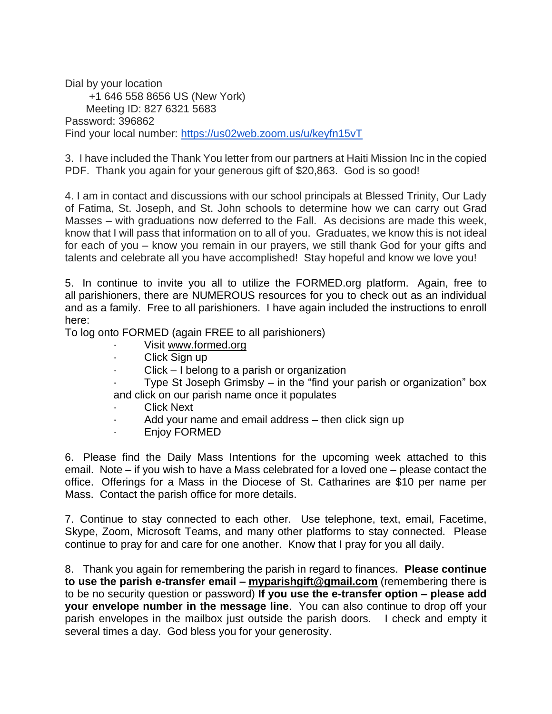Dial by your location +1 646 558 8656 US (New York) Meeting ID: 827 6321 5683 Password: 396862 Find your local number: <https://us02web.zoom.us/u/keyfn15vT>

3. I have included the Thank You letter from our partners at Haiti Mission Inc in the copied PDF. Thank you again for your generous gift of \$20,863. God is so good!

4. I am in contact and discussions with our school principals at Blessed Trinity, Our Lady of Fatima, St. Joseph, and St. John schools to determine how we can carry out Grad Masses – with graduations now deferred to the Fall. As decisions are made this week, know that I will pass that information on to all of you. Graduates, we know this is not ideal for each of you – know you remain in our prayers, we still thank God for your gifts and talents and celebrate all you have accomplished! Stay hopeful and know we love you!

5. In continue to invite you all to utilize the FORMED.org platform. Again, free to all parishioners, there are NUMEROUS resources for you to check out as an individual and as a family. Free to all parishioners. I have again included the instructions to enroll here:

To log onto FORMED (again FREE to all parishioners)

- · Visit [www.formed.org](http://www.formed.org/)
- Click Sign up
- $Click I belong to a parish or organization$

Type St Joseph Grimsby  $-$  in the "find your parish or organization" box and click on our parish name once it populates

- Click Next
- Add your name and email address then click sign up
- · Enjoy FORMED

6. Please find the Daily Mass Intentions for the upcoming week attached to this email. Note – if you wish to have a Mass celebrated for a loved one – please contact the office. Offerings for a Mass in the Diocese of St. Catharines are \$10 per name per Mass. Contact the parish office for more details.

7. Continue to stay connected to each other. Use telephone, text, email, Facetime, Skype, Zoom, Microsoft Teams, and many other platforms to stay connected. Please continue to pray for and care for one another. Know that I pray for you all daily.

8. Thank you again for remembering the parish in regard to finances. **Please continue to use the parish e-transfer email – [myparishgift@gmail.com](mailto:myparishgift@gmail.com)** (remembering there is to be no security question or password) **If you use the e-transfer option – please add your envelope number in the message line**. You can also continue to drop off your parish envelopes in the mailbox just outside the parish doors. I check and empty it several times a day. God bless you for your generosity.